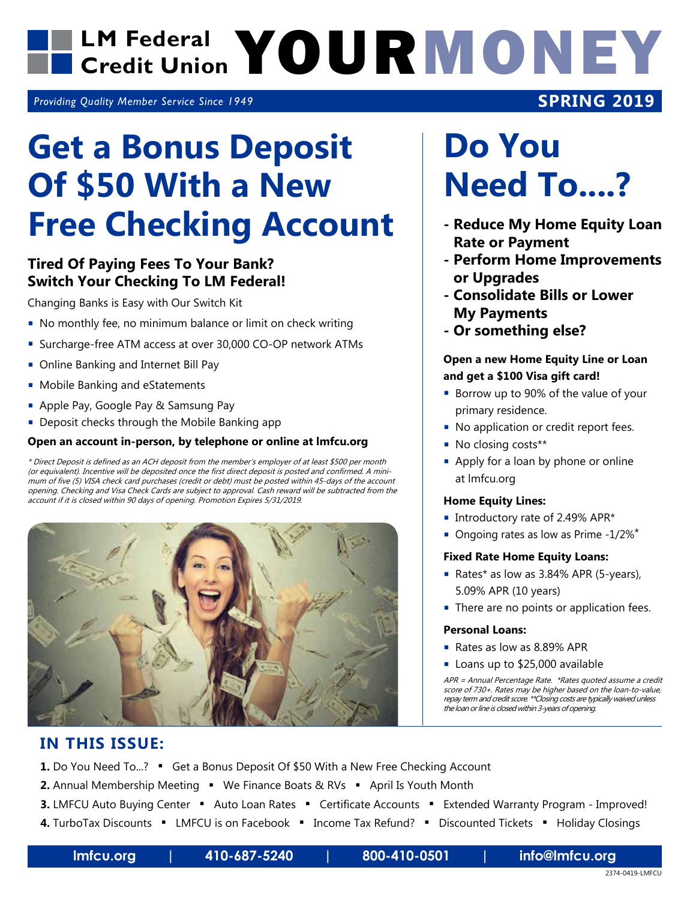### LM Federal **YOURMONEY Credit Union**

*Providing Quality Member Service Since 1949*

## **Get a Bonus Deposit Of \$50 With a New Free Checking Account**

#### **Tired Of Paying Fees To Your Bank? Switch Your Checking To LM Federal!**

Changing Banks is Easy with Our Switch Kit

- No monthly fee, no minimum balance or limit on check writing
- Surcharge-free ATM access at over 30,000 CO-OP network ATMs
- **Online Banking and Internet Bill Pay**
- **Mobile Banking and eStatements**
- Apple Pay, Google Pay & Samsung Pay
- Deposit checks through the Mobile Banking app

#### **Open an account in-person, by telephone or online at lmfcu.org**

\* Direct Deposit is defined as an ACH deposit from the member's employer of at least \$500 per month (or equivalent). Incentive will be deposited once the first direct deposit is posted and confirmed. A minimum of five (5) VISA check card purchases (credit or debt) must be posted within 45-days of the account opening. Checking and Visa Check Cards are subject to approval. Cash reward will be subtracted from the account if it is closed within 90 days of opening. Promotion Expires 5/31/2019.



## **Do You Need To....?**

**SPRING 2019**

- **Reduce My Home Equity Loan Rate or Payment**
- **Perform Home Improvements or Upgrades**
- **Consolidate Bills or Lower My Payments**
- **Or something else?**

#### **Open a new Home Equity Line or Loan and get a \$100 Visa gift card!**

- Borrow up to 90% of the value of your primary residence.
- No application or credit report fees.
- No closing costs\*\*
- Apply for a loan by phone or online at lmfcu.org

#### **Home Equity Lines:**

- **Introductory rate of 2.49% APR\***
- Ongoing rates as low as Prime - $1/2\%$ <sup>\*</sup>

#### **Fixed Rate Home Equity Loans:**

- Rates\* as low as 3.84% APR (5-years), 5.09% APR (10 years)
- There are no points or application fees.

#### **Personal Loans:**

- Rates as low as 8.89% APR
- Loans up to \$25,000 available

APR = Annual Percentage Rate. \*Rates quoted assume a credit score of 730+. Rates may be higher based on the loan-to-value, repay term and credit score. \*\*Closing costs are typically waived unless the loan or line is closed within 3-years of opening.

### **IN THIS ISSUE:**

**1.** Do You Need To...? " Get a Bonus Deposit Of \$50 With a New Free Checking Account

**2.** Annual Membership Meeting • We Finance Boats & RVs • April Is Youth Month

- **3.** LMFCU Auto Buying Center Auto Loan Rates Certificate Accounts Extended Warranty Program Improved!
- 4. TurboTax Discounts LMFCU is on Facebook Income Tax Refund? Discounted Tickets Holiday Closings

**lmfcu.org | 410-687-5240 | 800-410-0501 | info@lmfcu.org**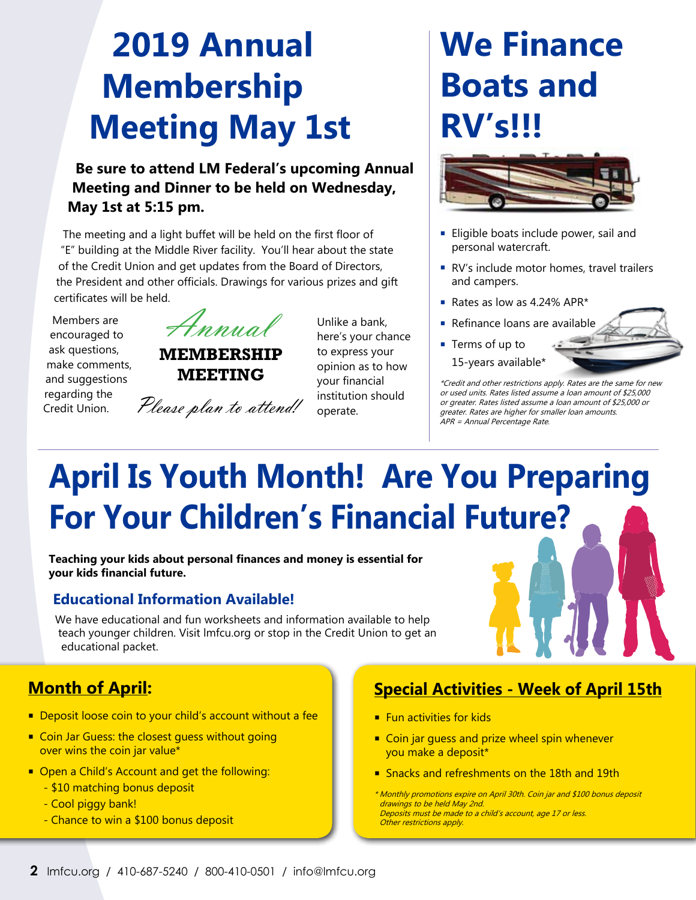## **2019 Annual Membership Meeting May 1st**

### **Be sure to attend LM Federal's upcoming Annual Meeting and Dinner to be held on Wednesday, May 1st at 5:15 pm.**

The meeting and a light buffet will be held on the first floor of "E" building at the Middle River facility. You'll hear about the state of the Credit Union and get updates from the Board of Directors, the President and other officials. Drawings for various prizes and gift certificates will be held.

Members are encouraged to ask questions, make comments, and suggestions regarding the Credit Union.

Annual

**MEMBERSHIP MEETING**

Please plan to attend!

Unlike a bank, here's your chance to express your opinion as to how your financial institution should operate.

## **We Finance Boats and RV's!!!**



- **Eligible boats include power, sail and** personal watercraft.
- RV's include motor homes, travel trailers and campers.
- Rates as low as 4.24% APR\*
- Refinance loans are available
- Terms of up to 15-years available\*

\*Credit and other restrictions apply. Rates are the same for new or used units. Rates listed assume a loan amount of \$25,000 or greater. Rates listed assume a loan amount of \$25,000 or greater. Rates are higher for smaller loan amounts. APR = Annual Percentage Rate.

## **April Is Youth Month! Are You Preparing For Your Children's Financial Future?**

**Teaching your kids about personal finances and money is essential for your kids financial future.** 

### **Educational Information Available!**

 We have educational and fun worksheets and information available to help teach younger children. Visit lmfcu.org or stop in the Credit Union to get an educational packet.

### **Month of April:**

- Deposit loose coin to your child's account without a fee
- Coin Jar Guess: the closest guess without going over wins the coin jar value\*
- Open a Child's Account and get the following:
	- \$10 matching bonus deposit
	- Cool piggy bank!
	- Chance to win a \$100 bonus deposit

### **Special Activities - Week of April 15th**

- $\blacksquare$  Fun activities for kids
- Coin jar guess and prize wheel spin whenever you make a deposit\*
- Snacks and refreshments on the 18th and 19th
- \* Monthly promotions expire on April 30th. Coin jar and \$100 bonus deposit drawings to be held May 2nd. Deposits must be made to a child's account, age 17 or less. Other restrictions apply.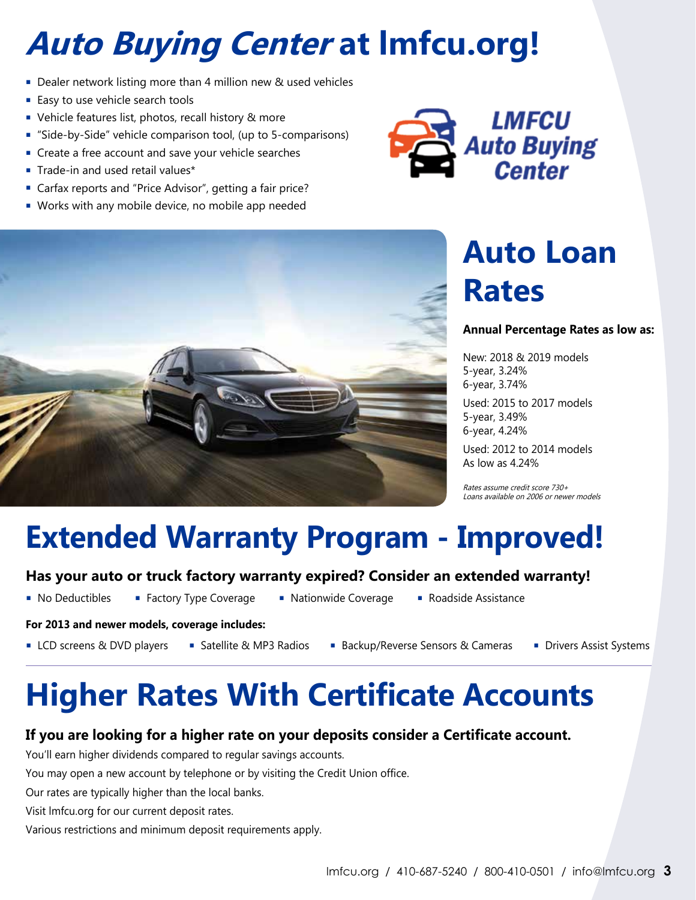## **Auto Buying Center at lmfcu.org!**

- Dealer network listing more than 4 million new & used vehicles
- **Easy to use vehicle search tools**
- **•** Vehicle features list, photos, recall history & more
- "Side-by-Side" vehicle comparison tool, (up to 5-comparisons)
- **Create a free account and save your vehicle searches**
- **Trade-in and used retail values\***
- Carfax reports and "Price Advisor", getting a fair price?
- Works with any mobile device, no mobile app needed





## **Auto Loan Rates**

#### **Annual Percentage Rates as low as:**

New: 2018 & 2019 models 5-year, 3.24% 6-year, 3.74%

Used: 2015 to 2017 models 5-year, 3.49% 6-year, 4.24%

Used: 2012 to 2014 models As low as 4.24%

Rates assume credit score 730+ Loans available on 2006 or newer models

### **Extended Warranty Program - Improved!**

#### **Has your auto or truck factory warranty expired? Consider an extended warranty!**

- 
- 
- No Deductibles Factory Type Coverage Nationwide Coverage Roadside Assistance
	-

#### **For 2013 and newer models, coverage includes:**

- 
- 
- LCD screens & DVD players Satellite & MP3 Radios Backup/Reverse Sensors & Cameras Drivers Assist Systems
	-

## **Higher Rates With Certificate Accounts**

#### **If you are looking for a higher rate on your deposits consider a Certificate account.**

You'll earn higher dividends compared to regular savings accounts.

You may open a new account by telephone or by visiting the Credit Union office.

Our rates are typically higher than the local banks.

Visit lmfcu.org for our current deposit rates.

Various restrictions and minimum deposit requirements apply.